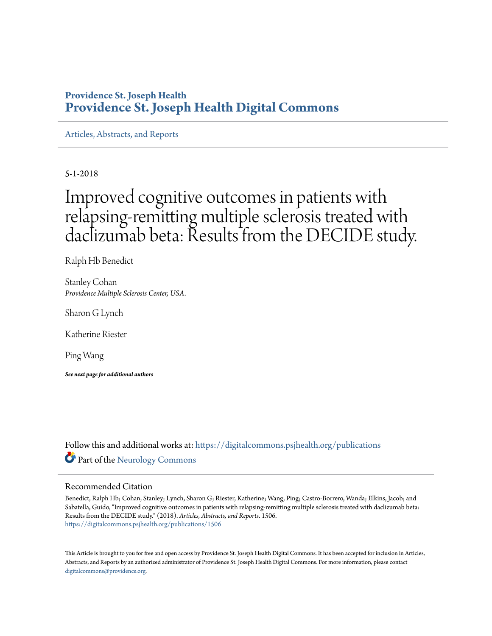# **Providence St. Joseph Health [Providence St. Joseph Health Digital Commons](https://digitalcommons.psjhealth.org?utm_source=digitalcommons.psjhealth.org%2Fpublications%2F1506&utm_medium=PDF&utm_campaign=PDFCoverPages)**

[Articles, Abstracts, and Reports](https://digitalcommons.psjhealth.org/publications?utm_source=digitalcommons.psjhealth.org%2Fpublications%2F1506&utm_medium=PDF&utm_campaign=PDFCoverPages)

5-1-2018

# Improved cognitive outcomes in patients with relapsing-remitting multiple sclerosis treated with daclizumab beta: Results from the DECIDE study.

Ralph Hb Benedict

Stanley Cohan *Providence Multiple Sclerosis Center, USA.*

Sharon G Lynch

Katherine Riester

Ping Wang

*See next page for additional authors*

Follow this and additional works at: [https://digitalcommons.psjhealth.org/publications](https://digitalcommons.psjhealth.org/publications?utm_source=digitalcommons.psjhealth.org%2Fpublications%2F1506&utm_medium=PDF&utm_campaign=PDFCoverPages) Part of the [Neurology Commons](http://network.bepress.com/hgg/discipline/692?utm_source=digitalcommons.psjhealth.org%2Fpublications%2F1506&utm_medium=PDF&utm_campaign=PDFCoverPages)

# Recommended Citation

Benedict, Ralph Hb; Cohan, Stanley; Lynch, Sharon G; Riester, Katherine; Wang, Ping; Castro-Borrero, Wanda; Elkins, Jacob; and Sabatella, Guido, "Improved cognitive outcomes in patients with relapsing-remitting multiple sclerosis treated with daclizumab beta: Results from the DECIDE study." (2018). *Articles, Abstracts, and Reports*. 1506. [https://digitalcommons.psjhealth.org/publications/1506](https://digitalcommons.psjhealth.org/publications/1506?utm_source=digitalcommons.psjhealth.org%2Fpublications%2F1506&utm_medium=PDF&utm_campaign=PDFCoverPages)

This Article is brought to you for free and open access by Providence St. Joseph Health Digital Commons. It has been accepted for inclusion in Articles, Abstracts, and Reports by an authorized administrator of Providence St. Joseph Health Digital Commons. For more information, please contact [digitalcommons@providence.org](mailto:digitalcommons@providence.org).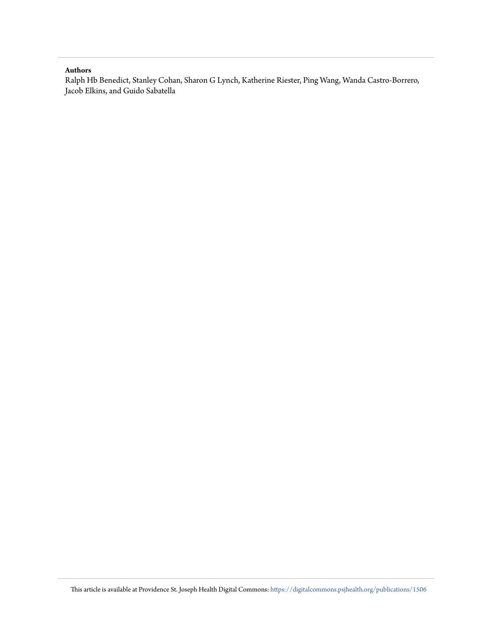## **Authors**

Ralph Hb Benedict, Stanley Cohan, Sharon G Lynch, Katherine Riester, Ping Wang, Wanda Castro-Borrero, Jacob Elkins, and Guido Sabatella

This article is available at Providence St. Joseph Health Digital Commons: [https://digitalcommons.psjhealth.org/publications/1506](https://digitalcommons.psjhealth.org/publications/1506?utm_source=digitalcommons.psjhealth.org%2Fpublications%2F1506&utm_medium=PDF&utm_campaign=PDFCoverPages)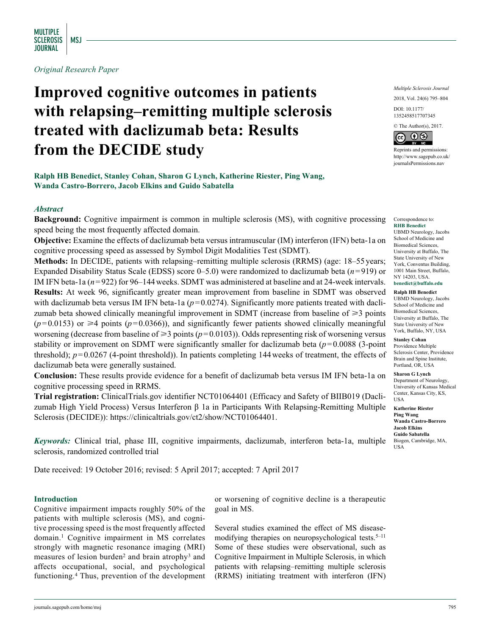*Original Research Paper*

# **Improved cognitive outcomes in patients with relapsing–remitting multiple sclerosis treated with daclizumab beta: Results from the DECIDE study**

**Ralph HB Benedict, Stanley Cohan, Sharon G Lynch, Katherine Riester, Ping Wang, Wanda Castro-Borrero, Jacob Elkins and Guido Sabatella**

# *Abstract*

**Background:** Cognitive impairment is common in multiple sclerosis (MS), with cognitive processing speed being the most frequently affected domain.

**Objective:** Examine the effects of daclizumab beta versus intramuscular (IM) interferon (IFN) beta-1a on cognitive processing speed as assessed by Symbol Digit Modalities Test (SDMT).

**Methods:** In DECIDE, patients with relapsing–remitting multiple sclerosis (RRMS) (age: 18–55 years; Expanded Disability Status Scale (EDSS) score 0–5.0) were randomized to daclizumab beta (*n*=919) or IM IFN beta-1a ( $n=922$ ) for 96–144 weeks. SDMT was administered at baseline and at 24-week intervals. **Results:** At week 96, significantly greater mean improvement from baseline in SDMT was observed with daclizumab beta versus IM IFN beta-1a  $(p=0.0274)$ . Significantly more patients treated with daclizumab beta showed clinically meaningful improvement in SDMT (increase from baseline of  $\geq 3$  points  $(p=0.0153)$  or  $\geq 4$  points ( $p=0.0366$ )), and significantly fewer patients showed clinically meaningful worsening (decrease from baseline of  $\geq 3$  points ( $p=0.0103$ )). Odds representing risk of worsening versus stability or improvement on SDMT were significantly smaller for daclizumab beta (*p*=0.0088 (3-point threshold); *p*=0.0267 (4-point threshold)). In patients completing 144weeks of treatment, the effects of daclizumab beta were generally sustained.

**Conclusion:** These results provide evidence for a benefit of daclizumab beta versus IM IFN beta-1a on cognitive processing speed in RRMS.

**Trial registration:** ClinicalTrials.gov identifier NCT01064401 (Efficacy and Safety of BIIB019 (Daclizumab High Yield Process) Versus Interferon β 1a in Participants With Relapsing-Remitting Multiple Sclerosis (DECIDE)): [https://clinicaltrials.gov/ct2/show/NCT01064401.](https://clinicaltrials.gov/ct2/show/NCT01064401)

*Keywords:* Clinical trial, phase III, cognitive impairments, daclizumab, interferon beta-1a, multiple sclerosis, randomized controlled trial

Date received: 19 October 2016; revised: 5 April 2017; accepted: 7 April 2017

#### **Introduction**

Cognitive impairment impacts roughly 50% of the patients with multiple sclerosis (MS), and cognitive processing speed is the most frequently affected domain.1 Cognitive impairment in MS correlates strongly with magnetic resonance imaging (MRI) measures of lesion burden<sup>2</sup> and brain atrophy<sup>3</sup> and affects occupational, social, and psychological functioning.4 Thus, prevention of the development or worsening of cognitive decline is a therapeutic goal in MS.

Several studies examined the effect of MS diseasemodifying therapies on neuropsychological tests.<sup>5–11</sup> Some of these studies were observational, such as Cognitive Impairment in Multiple Sclerosis, in which patients with relapsing–remitting multiple sclerosis (RRMS) initiating treatment with interferon (IFN)

*Multiple Sclerosis Journal*

2018, Vol. 24(6) 795–804

DOI: 10.1177/ https://doi.org/10.1177/1352458517707345 1352458517707345

© The Author(s), 2017.



Reprints and permissions: [http://www.sagepub.co.uk/](https://uk.sagepub.com/en-gb/journals-permissions) [journalsPermissions.nav](https://uk.sagepub.com/en-gb/journals-permissions)

Correspondence to: **RHB Benedict** UBMD Neurology, Jacobs School of Medicine and Biomedical Sciences, University at Buffalo, The State University of New York, Conventus Building, 1001 Main Street, Buffalo, NY 14203, USA. **[benedict@buffalo.edu](mailto:benedict@buffalo.edu)**

**Ralph HB Benedict**

UBMD Neurology, Jacobs School of Medicine and Biomedical Sciences, University at Buffalo, The State University of New York, Buffalo, NY, USA

**Stanley Cohan** Providence Multiple Sclerosis Center, Providence Brain and Spine Institute, Portland, OR, USA

**Sharon G Lynch** Department of Neurology, University of Kansas Medical Center, Kansas City, KS, USA

**Katherine Riester Ping Wang Wanda Castro-Borrero Jacob Elkins Guido Sabatella** Biogen, Cambridge, MA, USA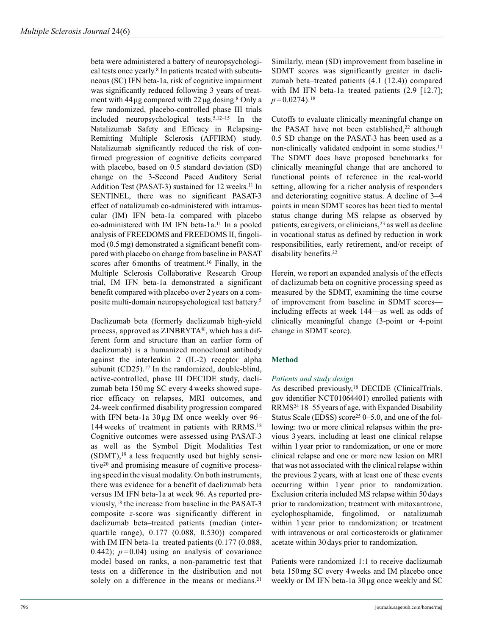beta were administered a battery of neuropsychological tests once yearly.<sup>8</sup> In patients treated with subcutaneous (SC) IFN beta-1a, risk of cognitive impairment was significantly reduced following 3 years of treatment with  $44 \mu$ g compared with  $22 \mu$ g dosing.<sup>8</sup> Only a few randomized, placebo-controlled phase III trials included neuropsychological tests.5,12–15 In the Natalizumab Safety and Efficacy in Relapsing-Remitting Multiple Sclerosis (AFFIRM) study. Natalizumab significantly reduced the risk of confirmed progression of cognitive deficits compared with placebo, based on 0.5 standard deviation (SD) change on the 3-Second Paced Auditory Serial Addition Test (PASAT-3) sustained for 12 weeks.<sup>11</sup> In SENTINEL, there was no significant PASAT-3 effect of natalizumab co-administered with intramuscular (IM) IFN beta-1a compared with placebo co-administered with IM IFN beta-1a.<sup>11</sup> In a pooled analysis of FREEDOMS and FREEDOMS II, fingolimod (0.5mg) demonstrated a significant benefit compared with placebo on change from baseline in PASAT scores after 6 months of treatment.<sup>16</sup> Finally, in the Multiple Sclerosis Collaborative Research Group trial, IM IFN beta-1a demonstrated a significant benefit compared with placebo over 2 years on a composite multi-domain neuropsychological test battery.5

Daclizumab beta (formerly daclizumab high-yield process, approved as ZINBRYTA®, which has a different form and structure than an earlier form of daclizumab) is a humanized monoclonal antibody against the interleukin 2 (IL-2) receptor alpha subunit  $(CD25)$ .<sup>17</sup> In the randomized, double-blind, active-controlled, phase III DECIDE study, daclizumab beta 150 mg SC every 4 weeks showed superior efficacy on relapses, MRI outcomes, and 24-week confirmed disability progression compared with IFN beta-1a 30 µg IM once weekly over 96– 144 weeks of treatment in patients with RRMS.18 Cognitive outcomes were assessed using PASAT-3 as well as the Symbol Digit Modalities Test  $(SDMT)$ ,<sup>19</sup> a less frequently used but highly sensitive20 and promising measure of cognitive processing speed in the visual modality. On both instruments, there was evidence for a benefit of daclizumab beta versus IM IFN beta-1a at week 96. As reported previously,18 the increase from baseline in the PASAT-3 composite *z*-score was significantly different in daclizumab beta–treated patients (median (interquartile range), 0.177 (0.088, 0.530)) compared with IM IFN beta-1a–treated patients (0.177 (0.088, 0.442);  $p=0.04$ ) using an analysis of covariance model based on ranks, a non-parametric test that tests on a difference in the distribution and not solely on a difference in the means or medians.<sup>21</sup>

Similarly, mean (SD) improvement from baseline in SDMT scores was significantly greater in daclizumab beta–treated patients (4.1 (12.4)) compared with IM IFN beta-1a–treated patients (2.9 [12.7];  $p = 0.0274$ .<sup>18</sup>

Cutoffs to evaluate clinically meaningful change on the PASAT have not been established, $^{22}$  although 0.5 SD change on the PASAT-3 has been used as a non-clinically validated endpoint in some studies.<sup>11</sup> The SDMT does have proposed benchmarks for clinically meaningful change that are anchored to functional points of reference in the real-world setting, allowing for a richer analysis of responders and deteriorating cognitive status. A decline of 3–4 points in mean SDMT scores has been tied to mental status change during MS relapse as observed by patients, caregivers, or clinicians,<sup>23</sup> as well as decline in vocational status as defined by reduction in work responsibilities, early retirement, and/or receipt of disability benefits.<sup>22</sup>

Herein, we report an expanded analysis of the effects of daclizumab beta on cognitive processing speed as measured by the SDMT, examining the time course of improvement from baseline in SDMT scores including effects at week 144—as well as odds of clinically meaningful change (3-point or 4-point change in SDMT score).

# **Method**

# *Patients and study design*

As described previously,<sup>18</sup> DECIDE (ClinicalTrials. gov identifier NCT01064401) enrolled patients with RRMS24 18–55 years of age, with Expanded Disability Status Scale (EDSS) score<sup>25</sup> 0–5.0, and one of the following: two or more clinical relapses within the previous 3 years, including at least one clinical relapse within 1year prior to randomization, or one or more clinical relapse and one or more new lesion on MRI that was not associated with the clinical relapse within the previous 2 years, with at least one of these events occurring within 1 year prior to randomization. Exclusion criteria included MS relapse within 50days prior to randomization; treatment with mitoxantrone, cyclophosphamide, fingolimod, or natalizumab within 1 year prior to randomization; or treatment with intravenous or oral corticosteroids or glatiramer acetate within 30 days prior to randomization.

Patients were randomized 1:1 to receive daclizumab beta 150mg SC every 4weeks and IM placebo once weekly or IM IFN beta-1a 30 µg once weekly and SC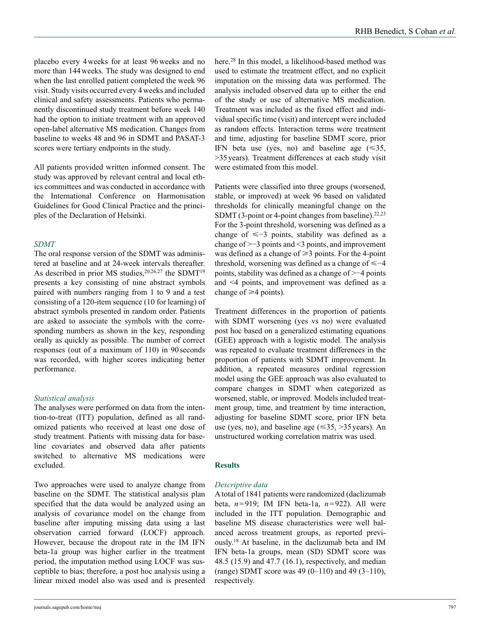placebo every 4weeks for at least 96weeks and no more than 144weeks. The study was designed to end when the last enrolled patient completed the week 96 visit. Study visits occurred every 4weeks and included clinical and safety assessments. Patients who permanently discontinued study treatment before week 140 had the option to initiate treatment with an approved open-label alternative MS medication. Changes from baseline to weeks 48 and 96 in SDMT and PASAT-3 scores were tertiary endpoints in the study.

All patients provided written informed consent. The study was approved by relevant central and local ethics committees and was conducted in accordance with the International Conference on Harmonisation Guidelines for Good Clinical Practice and the principles of the Declaration of Helsinki.

## *SDMT*

The oral response version of the SDMT was administered at baseline and at 24-week intervals thereafter. As described in prior MS studies,  $20,26,27$  the SDMT<sup>19</sup> presents a key consisting of nine abstract symbols paired with numbers ranging from 1 to 9 and a test consisting of a 120-item sequence (10 for learning) of abstract symbols presented in random order. Patients are asked to associate the symbols with the corresponding numbers as shown in the key, responding orally as quickly as possible. The number of correct responses (out of a maximum of 110) in 90seconds was recorded, with higher scores indicating better performance.

# *Statistical analysis*

The analyses were performed on data from the intention-to-treat (ITT) population, defined as all randomized patients who received at least one dose of study treatment. Patients with missing data for baseline covariates and observed data after patients switched to alternative MS medications were excluded.

Two approaches were used to analyze change from baseline on the SDMT. The statistical analysis plan specified that the data would be analyzed using an analysis of covariance model on the change from baseline after imputing missing data using a last observation carried forward (LOCF) approach. However, because the dropout rate in the IM IFN beta-1a group was higher earlier in the treatment period, the imputation method using LOCF was susceptible to bias; therefore, a post hoc analysis using a linear mixed model also was used and is presented

here.28 In this model, a likelihood-based method was used to estimate the treatment effect, and no explicit imputation on the missing data was performed. The analysis included observed data up to either the end of the study or use of alternative MS medication. Treatment was included as the fixed effect and individual specific time (visit) and intercept were included as random effects. Interaction terms were treatment and time, adjusting for baseline SDMT score, prior IFN beta use (yes, no) and baseline age  $(\leq 35,$ >35years). Treatment differences at each study visit were estimated from this model.

Patients were classified into three groups (worsened, stable, or improved) at week 96 based on validated thresholds for clinically meaningful change on the SDMT (3-point or 4-point changes from baseline).<sup>22,23</sup> For the 3-point threshold, worsening was defined as a change of  $\leq -3$  points, stability was defined as a change of >−3 points and <3 points, and improvement was defined as a change of  $\geq 3$  points. For the 4-point threshold, worsening was defined as a change of  $\leq -4$ points, stability was defined as a change of >−4 points and <4 points, and improvement was defined as a change of  $\geq 4$  points).

Treatment differences in the proportion of patients with SDMT worsening (yes vs no) were evaluated post hoc based on a generalized estimating equations (GEE) approach with a logistic model. The analysis was repeated to evaluate treatment differences in the proportion of patients with SDMT improvement. In addition, a repeated measures ordinal regression model using the GEE approach was also evaluated to compare changes in SDMT when categorized as worsened, stable, or improved. Models included treatment group, time, and treatment by time interaction, adjusting for baseline SDMT score, prior IFN beta use (yes, no), and baseline age  $(\leq 35, >35$  years). An unstructured working correlation matrix was used.

#### **Results**

#### *Descriptive data*

A total of 1841 patients were randomized (daclizumab beta, *n*=919; IM IFN beta-1a, *n*=922). All were included in the ITT population. Demographic and baseline MS disease characteristics were well balanced across treatment groups, as reported previously.18 At baseline, in the daclizumab beta and IM IFN beta-1a groups, mean (SD) SDMT score was 48.5 (15.9) and 47.7 (16.1), respectively, and median (range) SDMT score was  $49(0-110)$  and  $49(3-110)$ , respectively.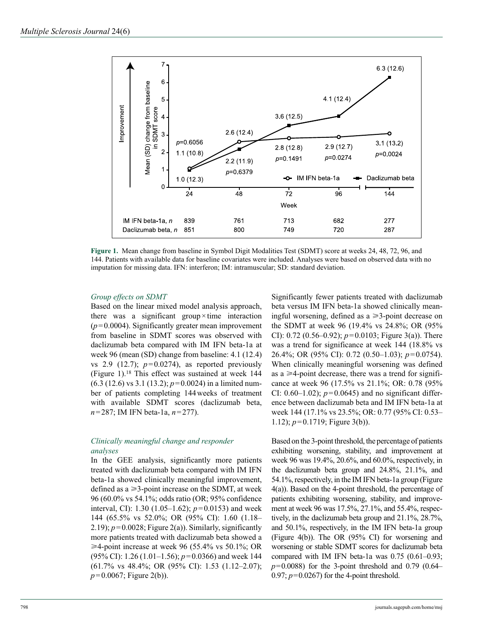

**Figure 1.** Mean change from baseline in Symbol Digit Modalities Test (SDMT) score at weeks 24, 48, 72, 96, and 144. Patients with available data for baseline covariates were included. Analyses were based on observed data with no imputation for missing data. IFN: interferon; IM: intramuscular; SD: standard deviation.

## *Group effects on SDMT*

Based on the linear mixed model analysis approach, there was a significant group×time interaction (*p*=0.0004). Significantly greater mean improvement from baseline in SDMT scores was observed with daclizumab beta compared with IM IFN beta-1a at week 96 (mean (SD) change from baseline: 4.1 (12.4) vs 2.9 (12.7);  $p=0.0274$ ), as reported previously (Figure 1).18 This effect was sustained at week 144 (6.3 (12.6) vs 3.1 (13.2); *p*=0.0024) in a limited number of patients completing 144weeks of treatment with available SDMT scores (daclizumab beta, *n*=287; IM IFN beta-1a, *n*=277).

# *Clinically meaningful change and responder analyses*

In the GEE analysis, significantly more patients treated with daclizumab beta compared with IM IFN beta-1a showed clinically meaningful improvement, defined as  $a \geq 3$ -point increase on the SDMT, at week 96 (60.0% vs 54.1%; odds ratio (OR; 95% confidence interval, CI): 1.30 (1.05–1.62); *p*=0.0153) and week 144 (65.5% vs 52.0%; OR (95% CI): 1.60 (1.18– 2.19);  $p=0.0028$ ; Figure 2(a)). Similarly, significantly more patients treated with daclizumab beta showed a  $\geq 4$ -point increase at week 96 (55.4% vs 50.1%; OR (95% CI): 1.26 (1.01–1.56); *p*=0.0366) and week 144 (61.7% vs 48.4%; OR (95% CI): 1.53 (1.12–2.07); *p*=0.0067; Figure 2(b)).

Significantly fewer patients treated with daclizumab beta versus IM IFN beta-1a showed clinically meaningful worsening, defined as  $a \geq 3$ -point decrease on the SDMT at week 96 (19.4% vs 24.8%; OR (95% CI): 0.72 (0.56–0.92); *p*=0.0103; Figure 3(a)). There was a trend for significance at week 144 (18.8% vs 26.4%; OR (95% CI): 0.72 (0.50–1.03); *p*=0.0754). When clinically meaningful worsening was defined as a  $\geq$ 4-point decrease, there was a trend for significance at week 96 (17.5% vs 21.1%; OR: 0.78 (95% CI:  $0.60-1.02$ ;  $p=0.0645$ ) and no significant difference between daclizumab beta and IM IFN beta-1a at week 144 (17.1% vs 23.5%; OR: 0.77 (95% CI: 0.53– 1.12); *p*=0.1719; Figure 3(b)).

Based on the 3-point threshold, the percentage of patients exhibiting worsening, stability, and improvement at week 96 was 19.4%, 20.6%, and 60.0%, respectively, in the daclizumab beta group and 24.8%, 21.1%, and 54.1%, respectively, in the IM IFN beta-1a group (Figure 4(a)). Based on the 4-point threshold, the percentage of patients exhibiting worsening, stability, and improvement at week 96 was 17.5%, 27.1%, and 55.4%, respectively, in the daclizumab beta group and 21.1%, 28.7%, and 50.1%, respectively, in the IM IFN beta-1a group (Figure 4(b)). The OR (95% CI) for worsening and worsening or stable SDMT scores for daclizumab beta compared with IM IFN beta-1a was 0.75 (0.61–0.93;  $p=0.0088$ ) for the 3-point threshold and 0.79 (0.64– 0.97;  $p=0.0267$ ) for the 4-point threshold.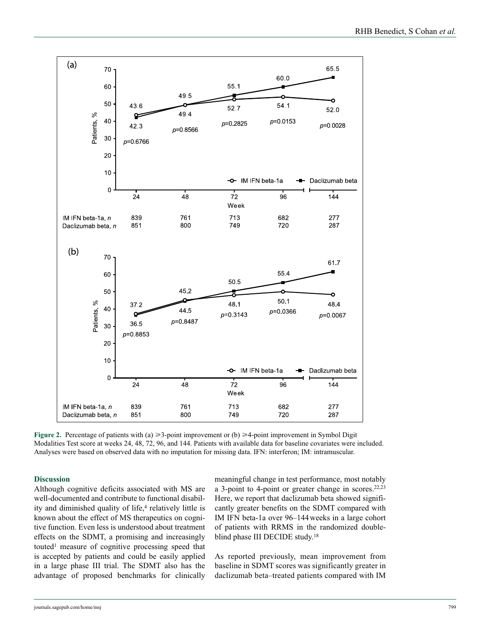

**Figure 2.** Percentage of patients with (a)  $\geq$ 3-point improvement or (b)  $\geq$ 4-point improvement in Symbol Digit Modalities Test score at weeks 24, 48, 72, 96, and 144. Patients with available data for baseline covariates were included. Analyses were based on observed data with no imputation for missing data. IFN: interferon; IM: intramuscular.

# **Discussion**

Although cognitive deficits associated with MS are well-documented and contribute to functional disability and diminished quality of life,<sup>4</sup> relatively little is known about the effect of MS therapeutics on cognitive function. Even less is understood about treatment effects on the SDMT, a promising and increasingly touted1 measure of cognitive processing speed that is accepted by patients and could be easily applied in a large phase III trial. The SDMT also has the advantage of proposed benchmarks for clinically

meaningful change in test performance, most notably a 3-point to 4-point or greater change in scores.22,23 Here, we report that daclizumab beta showed significantly greater benefits on the SDMT compared with IM IFN beta-1a over 96–144weeks in a large cohort of patients with RRMS in the randomized doubleblind phase III DECIDE study.18

As reported previously, mean improvement from baseline in SDMT scores was significantly greater in daclizumab beta–treated patients compared with IM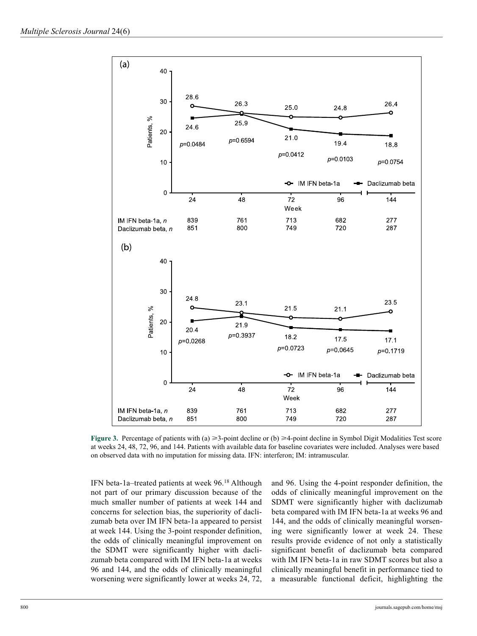

**Figure 3.** Percentage of patients with (a)  $\geq 3$ -point decline or (b)  $\geq 4$ -point decline in Symbol Digit Modalities Test score at weeks 24, 48, 72, 96, and 144. Patients with available data for baseline covariates were included. Analyses were based on observed data with no imputation for missing data. IFN: interferon; IM: intramuscular.

IFN beta-1a–treated patients at week 96.18 Although not part of our primary discussion because of the much smaller number of patients at week 144 and concerns for selection bias, the superiority of daclizumab beta over IM IFN beta-1a appeared to persist at week 144. Using the 3-point responder definition, the odds of clinically meaningful improvement on the SDMT were significantly higher with daclizumab beta compared with IM IFN beta-1a at weeks 96 and 144, and the odds of clinically meaningful worsening were significantly lower at weeks 24, 72, and 96. Using the 4-point responder definition, the odds of clinically meaningful improvement on the SDMT were significantly higher with daclizumab beta compared with IM IFN beta-1a at weeks 96 and 144, and the odds of clinically meaningful worsening were significantly lower at week 24. These results provide evidence of not only a statistically significant benefit of daclizumab beta compared with IM IFN beta-1a in raw SDMT scores but also a clinically meaningful benefit in performance tied to a measurable functional deficit, highlighting the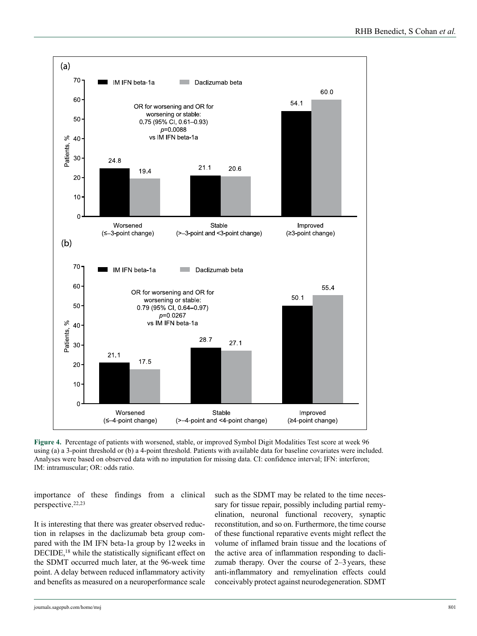

**Figure 4.** Percentage of patients with worsened, stable, or improved Symbol Digit Modalities Test score at week 96 using (a) a 3-point threshold or (b) a 4-point threshold. Patients with available data for baseline covariates were included. Analyses were based on observed data with no imputation for missing data. CI: confidence interval; IFN: interferon; IM: intramuscular; OR: odds ratio.

importance of these findings from a clinical perspective.22,23

It is interesting that there was greater observed reduction in relapses in the daclizumab beta group compared with the IM IFN beta-1a group by 12weeks in DECIDE,<sup>18</sup> while the statistically significant effect on the SDMT occurred much later, at the 96-week time point. A delay between reduced inflammatory activity and benefits as measured on a neuroperformance scale such as the SDMT may be related to the time necessary for tissue repair, possibly including partial remyelination, neuronal functional recovery, synaptic reconstitution, and so on. Furthermore, the time course of these functional reparative events might reflect the volume of inflamed brain tissue and the locations of the active area of inflammation responding to daclizumab therapy. Over the course of 2–3years, these anti-inflammatory and remyelination effects could conceivably protect against neurodegeneration. SDMT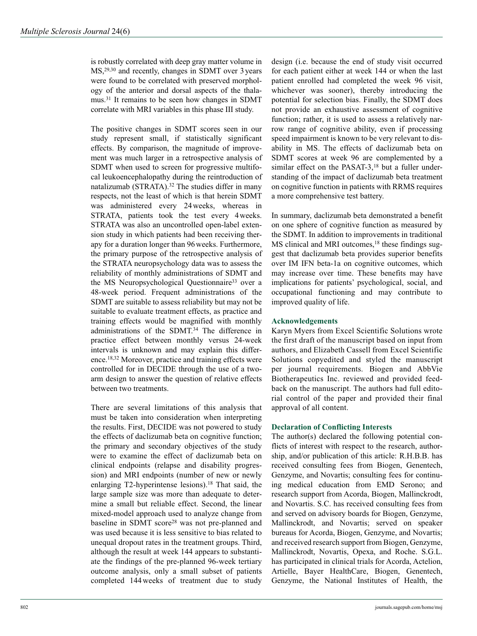is robustly correlated with deep gray matter volume in MS,29,30 and recently, changes in SDMT over 3years were found to be correlated with preserved morphology of the anterior and dorsal aspects of the thalamus.31 It remains to be seen how changes in SDMT correlate with MRI variables in this phase III study.

The positive changes in SDMT scores seen in our study represent small, if statistically significant effects. By comparison, the magnitude of improvement was much larger in a retrospective analysis of SDMT when used to screen for progressive multifocal leukoencephalopathy during the reintroduction of natalizumab (STRATA).<sup>32</sup> The studies differ in many respects, not the least of which is that herein SDMT was administered every 24weeks, whereas in STRATA, patients took the test every 4weeks. STRATA was also an uncontrolled open-label extension study in which patients had been receiving therapy for a duration longer than 96weeks. Furthermore, the primary purpose of the retrospective analysis of the STRATA neuropsychology data was to assess the reliability of monthly administrations of SDMT and the MS Neuropsychological Questionnaire<sup>33</sup> over a 48-week period. Frequent administrations of the SDMT are suitable to assess reliability but may not be suitable to evaluate treatment effects, as practice and training effects would be magnified with monthly administrations of the SDMT.34 The difference in practice effect between monthly versus 24-week intervals is unknown and may explain this difference.18,32 Moreover, practice and training effects were controlled for in DECIDE through the use of a twoarm design to answer the question of relative effects between two treatments.

There are several limitations of this analysis that must be taken into consideration when interpreting the results. First, DECIDE was not powered to study the effects of daclizumab beta on cognitive function; the primary and secondary objectives of the study were to examine the effect of daclizumab beta on clinical endpoints (relapse and disability progression) and MRI endpoints (number of new or newly enlarging T2-hyperintense lesions).<sup>18</sup> That said, the large sample size was more than adequate to determine a small but reliable effect. Second, the linear mixed-model approach used to analyze change from baseline in SDMT score<sup>28</sup> was not pre-planned and was used because it is less sensitive to bias related to unequal dropout rates in the treatment groups. Third, although the result at week 144 appears to substantiate the findings of the pre-planned 96-week tertiary outcome analysis, only a small subset of patients completed 144weeks of treatment due to study design (i.e. because the end of study visit occurred for each patient either at week 144 or when the last patient enrolled had completed the week 96 visit, whichever was sooner), thereby introducing the potential for selection bias. Finally, the SDMT does not provide an exhaustive assessment of cognitive function; rather, it is used to assess a relatively narrow range of cognitive ability, even if processing speed impairment is known to be very relevant to disability in MS. The effects of daclizumab beta on SDMT scores at week 96 are complemented by a similar effect on the PASAT-3,<sup>18</sup> but a fuller understanding of the impact of daclizumab beta treatment on cognitive function in patients with RRMS requires a more comprehensive test battery.

In summary, daclizumab beta demonstrated a benefit on one sphere of cognitive function as measured by the SDMT. In addition to improvements in traditional MS clinical and MRI outcomes,<sup>18</sup> these findings suggest that daclizumab beta provides superior benefits over IM IFN beta-1a on cognitive outcomes, which may increase over time. These benefits may have implications for patients' psychological, social, and occupational functioning and may contribute to improved quality of life.

# **Acknowledgements**

Karyn Myers from Excel Scientific Solutions wrote the first draft of the manuscript based on input from authors, and Elizabeth Cassell from Excel Scientific Solutions copyedited and styled the manuscript per journal requirements. Biogen and AbbVie Biotherapeutics Inc. reviewed and provided feedback on the manuscript. The authors had full editorial control of the paper and provided their final approval of all content.

# **Declaration of Conflicting Interests**

The author(s) declared the following potential conflicts of interest with respect to the research, authorship, and/or publication of this article: R.H.B.B. has received consulting fees from Biogen, Genentech, Genzyme, and Novartis; consulting fees for continuing medical education from EMD Serono; and research support from Acorda, Biogen, Mallinckrodt, and Novartis. S.C. has received consulting fees from and served on advisory boards for Biogen, Genzyme, Mallinckrodt, and Novartis; served on speaker bureaus for Acorda, Biogen, Genzyme, and Novartis; and received research support from Biogen, Genzyme, Mallinckrodt, Novartis, Opexa, and Roche. S.G.L. has participated in clinical trials for Acorda, Actelion, Artielle, Bayer HealthCare, Biogen, Genentech, Genzyme, the National Institutes of Health, the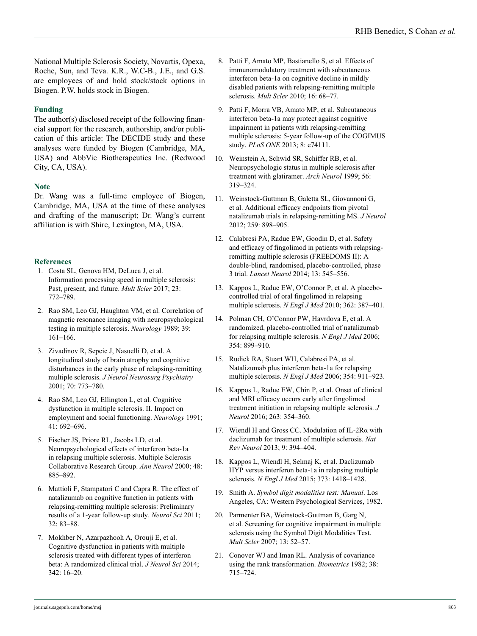National Multiple Sclerosis Society, Novartis, Opexa, Roche, Sun, and Teva. K.R., W.C-B., J.E., and G.S. are employees of and hold stock/stock options in Biogen. P.W. holds stock in Biogen.

# **Funding**

The author(s) disclosed receipt of the following financial support for the research, authorship, and/or publication of this article: The DECIDE study and these analyses were funded by Biogen (Cambridge, MA, USA) and AbbVie Biotherapeutics Inc. (Redwood City, CA, USA).

# **Note**

Dr. Wang was a full-time employee of Biogen, Cambridge, MA, USA at the time of these analyses and drafting of the manuscript; Dr. Wang's current affiliation is with Shire, Lexington, MA, USA.

# **References**

- 1. Costa SL, Genova HM, DeLuca J, et al. Information processing speed in multiple sclerosis: Past, present, and future. *Mult Scler* 2017; 23: 772–789.
- 2. Rao SM, Leo GJ, Haughton VM, et al. Correlation of magnetic resonance imaging with neuropsychological testing in multiple sclerosis. *Neurology* 1989; 39: 161–166.
- 3. Zivadinov R, Sepcic J, Nasuelli D, et al. A longitudinal study of brain atrophy and cognitive disturbances in the early phase of relapsing-remitting multiple sclerosis. *J Neurol Neurosurg Psychiatry* 2001; 70: 773–780.
- 4. Rao SM, Leo GJ, Ellington L, et al. Cognitive dysfunction in multiple sclerosis. II. Impact on employment and social functioning. *Neurology* 1991; 41: 692–696.
- 5. Fischer JS, Priore RL, Jacobs LD, et al. Neuropsychological effects of interferon beta-1a in relapsing multiple sclerosis. Multiple Sclerosis Collaborative Research Group. *Ann Neurol* 2000; 48: 885–892.
- 6. Mattioli F, Stampatori C and Capra R. The effect of natalizumab on cognitive function in patients with relapsing-remitting multiple sclerosis: Preliminary results of a 1-year follow-up study. *Neurol Sci* 2011; 32: 83–88.
- 7. Mokhber N, Azarpazhooh A, Orouji E, et al. Cognitive dysfunction in patients with multiple sclerosis treated with different types of interferon beta: A randomized clinical trial. *J Neurol Sci* 2014; 342: 16–20.
- 8. Patti F, Amato MP, Bastianello S, et al. Effects of immunomodulatory treatment with subcutaneous interferon beta-1a on cognitive decline in mildly disabled patients with relapsing-remitting multiple sclerosis. *Mult Scler* 2010; 16: 68–77.
- 9. Patti F, Morra VB, Amato MP, et al. Subcutaneous interferon beta-1a may protect against cognitive impairment in patients with relapsing-remitting multiple sclerosis: 5-year follow-up of the COGIMUS study. *PLoS ONE* 2013; 8: e74111.
- 10. Weinstein A, Schwid SR, Schiffer RB, et al. Neuropsychologic status in multiple sclerosis after treatment with glatiramer. *Arch Neurol* 1999; 56: 319–324.
- 11. Weinstock-Guttman B, Galetta SL, Giovannoni G, et al. Additional efficacy endpoints from pivotal natalizumab trials in relapsing-remitting MS. *J Neurol* 2012; 259: 898–905.
- 12. Calabresi PA, Radue EW, Goodin D, et al. Safety and efficacy of fingolimod in patients with relapsingremitting multiple sclerosis (FREEDOMS II): A double-blind, randomised, placebo-controlled, phase 3 trial. *Lancet Neurol* 2014; 13: 545–556.
- 13. Kappos L, Radue EW, O'Connor P, et al. A placebocontrolled trial of oral fingolimod in relapsing multiple sclerosis. *N Engl J Med* 2010; 362: 387–401.
- 14. Polman CH, O'Connor PW, Havrdova E, et al. A randomized, placebo-controlled trial of natalizumab for relapsing multiple sclerosis. *N Engl J Med* 2006; 354: 899–910.
- 15. Rudick RA, Stuart WH, Calabresi PA, et al. Natalizumab plus interferon beta-1a for relapsing multiple sclerosis. *N Engl J Med* 2006; 354: 911–923.
- 16. Kappos L, Radue EW, Chin P, et al. Onset of clinical and MRI efficacy occurs early after fingolimod treatment initiation in relapsing multiple sclerosis. *J Neurol* 2016; 263: 354–360.
- 17. Wiendl H and Gross CC. Modulation of IL-2Rα with daclizumab for treatment of multiple sclerosis. *Nat Rev Neurol* 2013; 9: 394–404.
- 18. Kappos L, Wiendl H, Selmaj K, et al. Daclizumab HYP versus interferon beta-1a in relapsing multiple sclerosis. *N Engl J Med* 2015; 373: 1418–1428.
- 19. Smith A. *Symbol digit modalities test: Manual*. Los Angeles, CA: Western Psychological Services, 1982.
- 20. Parmenter BA, Weinstock-Guttman B, Garg N, et al. Screening for cognitive impairment in multiple sclerosis using the Symbol Digit Modalities Test. *Mult Scler* 2007; 13: 52–57.
- 21. Conover WJ and Iman RL. Analysis of covariance using the rank transformation. *Biometrics* 1982; 38: 715–724.